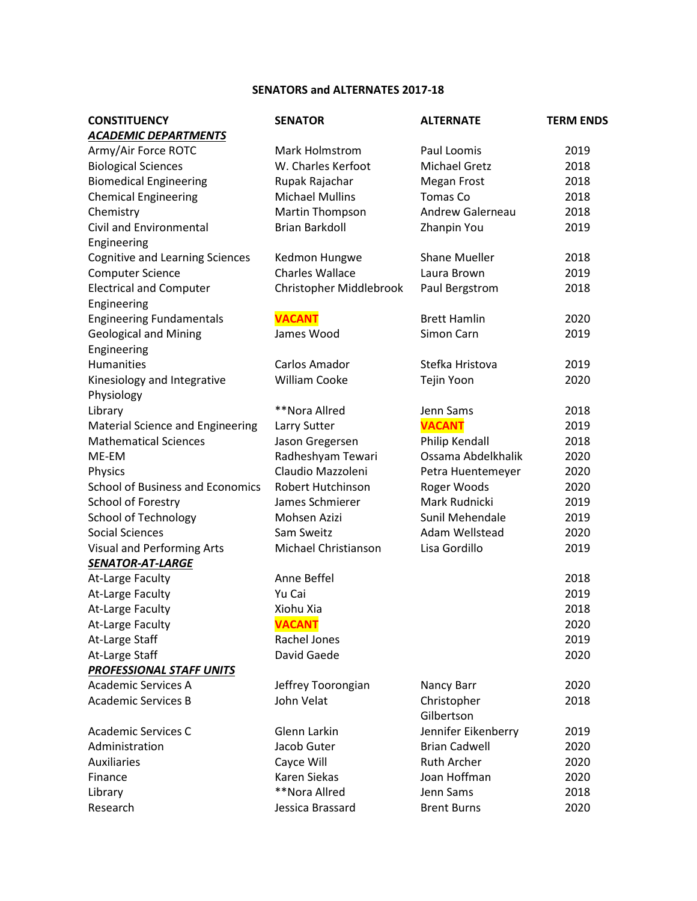## **SENATORS and ALTERNATES 2017-18**

| <b>ACADEMIC DEPARTMENTS</b><br>Army/Air Force ROTC<br>Mark Holmstrom<br>Paul Loomis<br>2019<br><b>Biological Sciences</b><br>W. Charles Kerfoot<br><b>Michael Gretz</b><br>2018<br><b>Biomedical Engineering</b><br>2018<br>Rupak Rajachar<br><b>Megan Frost</b><br><b>Michael Mullins</b><br><b>Tomas Co</b><br>2018<br><b>Chemical Engineering</b><br><b>Andrew Galerneau</b><br>2018<br>Chemistry<br>Martin Thompson<br><b>Civil and Environmental</b><br><b>Brian Barkdoll</b><br>Zhanpin You<br>2019<br>Engineering<br><b>Cognitive and Learning Sciences</b><br>Kedmon Hungwe<br><b>Shane Mueller</b><br>2018<br><b>Charles Wallace</b><br><b>Computer Science</b><br>Laura Brown<br>2019<br>Christopher Middlebrook<br><b>Electrical and Computer</b><br>Paul Bergstrom<br>2018<br>Engineering<br><b>VACANT</b><br><b>Engineering Fundamentals</b><br><b>Brett Hamlin</b><br>2020<br><b>Geological and Mining</b><br>James Wood<br>Simon Carn<br>2019<br>Engineering<br><b>Humanities</b><br>Carlos Amador<br>Stefka Hristova<br>2019<br><b>William Cooke</b><br>Tejin Yoon<br>2020<br>Kinesiology and Integrative<br>Physiology<br>**Nora Allred<br>Library<br>Jenn Sams<br>2018<br><b>VACANT</b><br>Material Science and Engineering<br>2019<br>Larry Sutter<br><b>Mathematical Sciences</b><br>Jason Gregersen<br>Philip Kendall<br>2018<br>Ossama Abdelkhalik<br>ME-EM<br>Radheshyam Tewari<br>2020<br>Claudio Mazzoleni<br>2020<br>Physics<br>Petra Huentemeyer<br><b>School of Business and Economics</b><br><b>Robert Hutchinson</b><br>Roger Woods<br>2020<br>School of Forestry<br>James Schmierer<br>Mark Rudnicki<br>2019<br><b>School of Technology</b><br>Mohsen Azizi<br>Sunil Mehendale<br>2019<br><b>Social Sciences</b><br>Sam Sweitz<br>Adam Wellstead<br>2020<br>Michael Christianson<br>Lisa Gordillo<br>2019<br><b>Visual and Performing Arts</b><br><b>SENATOR-AT-LARGE</b><br>Anne Beffel<br>2018<br>At-Large Faculty<br>At-Large Faculty<br>Yu Cai<br>2019<br>At-Large Faculty<br>Xiohu Xia<br>2018<br>At-Large Faculty<br><b>VACANT</b><br>2020<br>Rachel Jones<br>2019<br>At-Large Staff<br>At-Large Staff<br>David Gaede<br>2020<br><b>PROFESSIONAL STAFF UNITS</b><br><b>Academic Services A</b><br>Jeffrey Toorongian<br>2020<br>Nancy Barr<br><b>Academic Services B</b><br>John Velat<br>Christopher<br>2018<br>Gilbertson<br>Jennifer Eikenberry<br>Glenn Larkin<br><b>Academic Services C</b><br>2019<br>Administration<br>Jacob Guter<br><b>Brian Cadwell</b><br>2020<br><b>Auxiliaries</b><br><b>Ruth Archer</b><br>Cayce Will<br>2020<br>Karen Siekas<br>Joan Hoffman<br>2020<br>Finance<br>**Nora Allred<br>Jenn Sams<br>2018<br>Library | <b>CONSTITUENCY</b> | <b>SENATOR</b>   | <b>ALTERNATE</b>   | <b>TERM ENDS</b> |
|--------------------------------------------------------------------------------------------------------------------------------------------------------------------------------------------------------------------------------------------------------------------------------------------------------------------------------------------------------------------------------------------------------------------------------------------------------------------------------------------------------------------------------------------------------------------------------------------------------------------------------------------------------------------------------------------------------------------------------------------------------------------------------------------------------------------------------------------------------------------------------------------------------------------------------------------------------------------------------------------------------------------------------------------------------------------------------------------------------------------------------------------------------------------------------------------------------------------------------------------------------------------------------------------------------------------------------------------------------------------------------------------------------------------------------------------------------------------------------------------------------------------------------------------------------------------------------------------------------------------------------------------------------------------------------------------------------------------------------------------------------------------------------------------------------------------------------------------------------------------------------------------------------------------------------------------------------------------------------------------------------------------------------------------------------------------------------------------------------------------------------------------------------------------------------------------------------------------------------------------------------------------------------------------------------------------------------------------------------------------------------------------------------------------------------------------------------------------------------------------------------------------------------------------------------------------------------------------------------------------------------------------------------------------------------------|---------------------|------------------|--------------------|------------------|
|                                                                                                                                                                                                                                                                                                                                                                                                                                                                                                                                                                                                                                                                                                                                                                                                                                                                                                                                                                                                                                                                                                                                                                                                                                                                                                                                                                                                                                                                                                                                                                                                                                                                                                                                                                                                                                                                                                                                                                                                                                                                                                                                                                                                                                                                                                                                                                                                                                                                                                                                                                                                                                                                                      |                     |                  |                    |                  |
|                                                                                                                                                                                                                                                                                                                                                                                                                                                                                                                                                                                                                                                                                                                                                                                                                                                                                                                                                                                                                                                                                                                                                                                                                                                                                                                                                                                                                                                                                                                                                                                                                                                                                                                                                                                                                                                                                                                                                                                                                                                                                                                                                                                                                                                                                                                                                                                                                                                                                                                                                                                                                                                                                      |                     |                  |                    |                  |
|                                                                                                                                                                                                                                                                                                                                                                                                                                                                                                                                                                                                                                                                                                                                                                                                                                                                                                                                                                                                                                                                                                                                                                                                                                                                                                                                                                                                                                                                                                                                                                                                                                                                                                                                                                                                                                                                                                                                                                                                                                                                                                                                                                                                                                                                                                                                                                                                                                                                                                                                                                                                                                                                                      |                     |                  |                    |                  |
|                                                                                                                                                                                                                                                                                                                                                                                                                                                                                                                                                                                                                                                                                                                                                                                                                                                                                                                                                                                                                                                                                                                                                                                                                                                                                                                                                                                                                                                                                                                                                                                                                                                                                                                                                                                                                                                                                                                                                                                                                                                                                                                                                                                                                                                                                                                                                                                                                                                                                                                                                                                                                                                                                      |                     |                  |                    |                  |
|                                                                                                                                                                                                                                                                                                                                                                                                                                                                                                                                                                                                                                                                                                                                                                                                                                                                                                                                                                                                                                                                                                                                                                                                                                                                                                                                                                                                                                                                                                                                                                                                                                                                                                                                                                                                                                                                                                                                                                                                                                                                                                                                                                                                                                                                                                                                                                                                                                                                                                                                                                                                                                                                                      |                     |                  |                    |                  |
|                                                                                                                                                                                                                                                                                                                                                                                                                                                                                                                                                                                                                                                                                                                                                                                                                                                                                                                                                                                                                                                                                                                                                                                                                                                                                                                                                                                                                                                                                                                                                                                                                                                                                                                                                                                                                                                                                                                                                                                                                                                                                                                                                                                                                                                                                                                                                                                                                                                                                                                                                                                                                                                                                      |                     |                  |                    |                  |
|                                                                                                                                                                                                                                                                                                                                                                                                                                                                                                                                                                                                                                                                                                                                                                                                                                                                                                                                                                                                                                                                                                                                                                                                                                                                                                                                                                                                                                                                                                                                                                                                                                                                                                                                                                                                                                                                                                                                                                                                                                                                                                                                                                                                                                                                                                                                                                                                                                                                                                                                                                                                                                                                                      |                     |                  |                    |                  |
|                                                                                                                                                                                                                                                                                                                                                                                                                                                                                                                                                                                                                                                                                                                                                                                                                                                                                                                                                                                                                                                                                                                                                                                                                                                                                                                                                                                                                                                                                                                                                                                                                                                                                                                                                                                                                                                                                                                                                                                                                                                                                                                                                                                                                                                                                                                                                                                                                                                                                                                                                                                                                                                                                      |                     |                  |                    |                  |
|                                                                                                                                                                                                                                                                                                                                                                                                                                                                                                                                                                                                                                                                                                                                                                                                                                                                                                                                                                                                                                                                                                                                                                                                                                                                                                                                                                                                                                                                                                                                                                                                                                                                                                                                                                                                                                                                                                                                                                                                                                                                                                                                                                                                                                                                                                                                                                                                                                                                                                                                                                                                                                                                                      |                     |                  |                    |                  |
|                                                                                                                                                                                                                                                                                                                                                                                                                                                                                                                                                                                                                                                                                                                                                                                                                                                                                                                                                                                                                                                                                                                                                                                                                                                                                                                                                                                                                                                                                                                                                                                                                                                                                                                                                                                                                                                                                                                                                                                                                                                                                                                                                                                                                                                                                                                                                                                                                                                                                                                                                                                                                                                                                      |                     |                  |                    |                  |
|                                                                                                                                                                                                                                                                                                                                                                                                                                                                                                                                                                                                                                                                                                                                                                                                                                                                                                                                                                                                                                                                                                                                                                                                                                                                                                                                                                                                                                                                                                                                                                                                                                                                                                                                                                                                                                                                                                                                                                                                                                                                                                                                                                                                                                                                                                                                                                                                                                                                                                                                                                                                                                                                                      |                     |                  |                    |                  |
|                                                                                                                                                                                                                                                                                                                                                                                                                                                                                                                                                                                                                                                                                                                                                                                                                                                                                                                                                                                                                                                                                                                                                                                                                                                                                                                                                                                                                                                                                                                                                                                                                                                                                                                                                                                                                                                                                                                                                                                                                                                                                                                                                                                                                                                                                                                                                                                                                                                                                                                                                                                                                                                                                      |                     |                  |                    |                  |
|                                                                                                                                                                                                                                                                                                                                                                                                                                                                                                                                                                                                                                                                                                                                                                                                                                                                                                                                                                                                                                                                                                                                                                                                                                                                                                                                                                                                                                                                                                                                                                                                                                                                                                                                                                                                                                                                                                                                                                                                                                                                                                                                                                                                                                                                                                                                                                                                                                                                                                                                                                                                                                                                                      |                     |                  |                    |                  |
|                                                                                                                                                                                                                                                                                                                                                                                                                                                                                                                                                                                                                                                                                                                                                                                                                                                                                                                                                                                                                                                                                                                                                                                                                                                                                                                                                                                                                                                                                                                                                                                                                                                                                                                                                                                                                                                                                                                                                                                                                                                                                                                                                                                                                                                                                                                                                                                                                                                                                                                                                                                                                                                                                      |                     |                  |                    |                  |
|                                                                                                                                                                                                                                                                                                                                                                                                                                                                                                                                                                                                                                                                                                                                                                                                                                                                                                                                                                                                                                                                                                                                                                                                                                                                                                                                                                                                                                                                                                                                                                                                                                                                                                                                                                                                                                                                                                                                                                                                                                                                                                                                                                                                                                                                                                                                                                                                                                                                                                                                                                                                                                                                                      |                     |                  |                    |                  |
|                                                                                                                                                                                                                                                                                                                                                                                                                                                                                                                                                                                                                                                                                                                                                                                                                                                                                                                                                                                                                                                                                                                                                                                                                                                                                                                                                                                                                                                                                                                                                                                                                                                                                                                                                                                                                                                                                                                                                                                                                                                                                                                                                                                                                                                                                                                                                                                                                                                                                                                                                                                                                                                                                      |                     |                  |                    |                  |
|                                                                                                                                                                                                                                                                                                                                                                                                                                                                                                                                                                                                                                                                                                                                                                                                                                                                                                                                                                                                                                                                                                                                                                                                                                                                                                                                                                                                                                                                                                                                                                                                                                                                                                                                                                                                                                                                                                                                                                                                                                                                                                                                                                                                                                                                                                                                                                                                                                                                                                                                                                                                                                                                                      |                     |                  |                    |                  |
|                                                                                                                                                                                                                                                                                                                                                                                                                                                                                                                                                                                                                                                                                                                                                                                                                                                                                                                                                                                                                                                                                                                                                                                                                                                                                                                                                                                                                                                                                                                                                                                                                                                                                                                                                                                                                                                                                                                                                                                                                                                                                                                                                                                                                                                                                                                                                                                                                                                                                                                                                                                                                                                                                      |                     |                  |                    |                  |
|                                                                                                                                                                                                                                                                                                                                                                                                                                                                                                                                                                                                                                                                                                                                                                                                                                                                                                                                                                                                                                                                                                                                                                                                                                                                                                                                                                                                                                                                                                                                                                                                                                                                                                                                                                                                                                                                                                                                                                                                                                                                                                                                                                                                                                                                                                                                                                                                                                                                                                                                                                                                                                                                                      |                     |                  |                    |                  |
|                                                                                                                                                                                                                                                                                                                                                                                                                                                                                                                                                                                                                                                                                                                                                                                                                                                                                                                                                                                                                                                                                                                                                                                                                                                                                                                                                                                                                                                                                                                                                                                                                                                                                                                                                                                                                                                                                                                                                                                                                                                                                                                                                                                                                                                                                                                                                                                                                                                                                                                                                                                                                                                                                      |                     |                  |                    |                  |
|                                                                                                                                                                                                                                                                                                                                                                                                                                                                                                                                                                                                                                                                                                                                                                                                                                                                                                                                                                                                                                                                                                                                                                                                                                                                                                                                                                                                                                                                                                                                                                                                                                                                                                                                                                                                                                                                                                                                                                                                                                                                                                                                                                                                                                                                                                                                                                                                                                                                                                                                                                                                                                                                                      |                     |                  |                    |                  |
|                                                                                                                                                                                                                                                                                                                                                                                                                                                                                                                                                                                                                                                                                                                                                                                                                                                                                                                                                                                                                                                                                                                                                                                                                                                                                                                                                                                                                                                                                                                                                                                                                                                                                                                                                                                                                                                                                                                                                                                                                                                                                                                                                                                                                                                                                                                                                                                                                                                                                                                                                                                                                                                                                      |                     |                  |                    |                  |
|                                                                                                                                                                                                                                                                                                                                                                                                                                                                                                                                                                                                                                                                                                                                                                                                                                                                                                                                                                                                                                                                                                                                                                                                                                                                                                                                                                                                                                                                                                                                                                                                                                                                                                                                                                                                                                                                                                                                                                                                                                                                                                                                                                                                                                                                                                                                                                                                                                                                                                                                                                                                                                                                                      |                     |                  |                    |                  |
|                                                                                                                                                                                                                                                                                                                                                                                                                                                                                                                                                                                                                                                                                                                                                                                                                                                                                                                                                                                                                                                                                                                                                                                                                                                                                                                                                                                                                                                                                                                                                                                                                                                                                                                                                                                                                                                                                                                                                                                                                                                                                                                                                                                                                                                                                                                                                                                                                                                                                                                                                                                                                                                                                      |                     |                  |                    |                  |
|                                                                                                                                                                                                                                                                                                                                                                                                                                                                                                                                                                                                                                                                                                                                                                                                                                                                                                                                                                                                                                                                                                                                                                                                                                                                                                                                                                                                                                                                                                                                                                                                                                                                                                                                                                                                                                                                                                                                                                                                                                                                                                                                                                                                                                                                                                                                                                                                                                                                                                                                                                                                                                                                                      |                     |                  |                    |                  |
|                                                                                                                                                                                                                                                                                                                                                                                                                                                                                                                                                                                                                                                                                                                                                                                                                                                                                                                                                                                                                                                                                                                                                                                                                                                                                                                                                                                                                                                                                                                                                                                                                                                                                                                                                                                                                                                                                                                                                                                                                                                                                                                                                                                                                                                                                                                                                                                                                                                                                                                                                                                                                                                                                      |                     |                  |                    |                  |
|                                                                                                                                                                                                                                                                                                                                                                                                                                                                                                                                                                                                                                                                                                                                                                                                                                                                                                                                                                                                                                                                                                                                                                                                                                                                                                                                                                                                                                                                                                                                                                                                                                                                                                                                                                                                                                                                                                                                                                                                                                                                                                                                                                                                                                                                                                                                                                                                                                                                                                                                                                                                                                                                                      |                     |                  |                    |                  |
|                                                                                                                                                                                                                                                                                                                                                                                                                                                                                                                                                                                                                                                                                                                                                                                                                                                                                                                                                                                                                                                                                                                                                                                                                                                                                                                                                                                                                                                                                                                                                                                                                                                                                                                                                                                                                                                                                                                                                                                                                                                                                                                                                                                                                                                                                                                                                                                                                                                                                                                                                                                                                                                                                      |                     |                  |                    |                  |
|                                                                                                                                                                                                                                                                                                                                                                                                                                                                                                                                                                                                                                                                                                                                                                                                                                                                                                                                                                                                                                                                                                                                                                                                                                                                                                                                                                                                                                                                                                                                                                                                                                                                                                                                                                                                                                                                                                                                                                                                                                                                                                                                                                                                                                                                                                                                                                                                                                                                                                                                                                                                                                                                                      |                     |                  |                    |                  |
|                                                                                                                                                                                                                                                                                                                                                                                                                                                                                                                                                                                                                                                                                                                                                                                                                                                                                                                                                                                                                                                                                                                                                                                                                                                                                                                                                                                                                                                                                                                                                                                                                                                                                                                                                                                                                                                                                                                                                                                                                                                                                                                                                                                                                                                                                                                                                                                                                                                                                                                                                                                                                                                                                      |                     |                  |                    |                  |
|                                                                                                                                                                                                                                                                                                                                                                                                                                                                                                                                                                                                                                                                                                                                                                                                                                                                                                                                                                                                                                                                                                                                                                                                                                                                                                                                                                                                                                                                                                                                                                                                                                                                                                                                                                                                                                                                                                                                                                                                                                                                                                                                                                                                                                                                                                                                                                                                                                                                                                                                                                                                                                                                                      |                     |                  |                    |                  |
|                                                                                                                                                                                                                                                                                                                                                                                                                                                                                                                                                                                                                                                                                                                                                                                                                                                                                                                                                                                                                                                                                                                                                                                                                                                                                                                                                                                                                                                                                                                                                                                                                                                                                                                                                                                                                                                                                                                                                                                                                                                                                                                                                                                                                                                                                                                                                                                                                                                                                                                                                                                                                                                                                      |                     |                  |                    |                  |
|                                                                                                                                                                                                                                                                                                                                                                                                                                                                                                                                                                                                                                                                                                                                                                                                                                                                                                                                                                                                                                                                                                                                                                                                                                                                                                                                                                                                                                                                                                                                                                                                                                                                                                                                                                                                                                                                                                                                                                                                                                                                                                                                                                                                                                                                                                                                                                                                                                                                                                                                                                                                                                                                                      |                     |                  |                    |                  |
|                                                                                                                                                                                                                                                                                                                                                                                                                                                                                                                                                                                                                                                                                                                                                                                                                                                                                                                                                                                                                                                                                                                                                                                                                                                                                                                                                                                                                                                                                                                                                                                                                                                                                                                                                                                                                                                                                                                                                                                                                                                                                                                                                                                                                                                                                                                                                                                                                                                                                                                                                                                                                                                                                      |                     |                  |                    |                  |
|                                                                                                                                                                                                                                                                                                                                                                                                                                                                                                                                                                                                                                                                                                                                                                                                                                                                                                                                                                                                                                                                                                                                                                                                                                                                                                                                                                                                                                                                                                                                                                                                                                                                                                                                                                                                                                                                                                                                                                                                                                                                                                                                                                                                                                                                                                                                                                                                                                                                                                                                                                                                                                                                                      |                     |                  |                    |                  |
|                                                                                                                                                                                                                                                                                                                                                                                                                                                                                                                                                                                                                                                                                                                                                                                                                                                                                                                                                                                                                                                                                                                                                                                                                                                                                                                                                                                                                                                                                                                                                                                                                                                                                                                                                                                                                                                                                                                                                                                                                                                                                                                                                                                                                                                                                                                                                                                                                                                                                                                                                                                                                                                                                      |                     |                  |                    |                  |
|                                                                                                                                                                                                                                                                                                                                                                                                                                                                                                                                                                                                                                                                                                                                                                                                                                                                                                                                                                                                                                                                                                                                                                                                                                                                                                                                                                                                                                                                                                                                                                                                                                                                                                                                                                                                                                                                                                                                                                                                                                                                                                                                                                                                                                                                                                                                                                                                                                                                                                                                                                                                                                                                                      |                     |                  |                    |                  |
|                                                                                                                                                                                                                                                                                                                                                                                                                                                                                                                                                                                                                                                                                                                                                                                                                                                                                                                                                                                                                                                                                                                                                                                                                                                                                                                                                                                                                                                                                                                                                                                                                                                                                                                                                                                                                                                                                                                                                                                                                                                                                                                                                                                                                                                                                                                                                                                                                                                                                                                                                                                                                                                                                      |                     |                  |                    |                  |
|                                                                                                                                                                                                                                                                                                                                                                                                                                                                                                                                                                                                                                                                                                                                                                                                                                                                                                                                                                                                                                                                                                                                                                                                                                                                                                                                                                                                                                                                                                                                                                                                                                                                                                                                                                                                                                                                                                                                                                                                                                                                                                                                                                                                                                                                                                                                                                                                                                                                                                                                                                                                                                                                                      |                     |                  |                    |                  |
|                                                                                                                                                                                                                                                                                                                                                                                                                                                                                                                                                                                                                                                                                                                                                                                                                                                                                                                                                                                                                                                                                                                                                                                                                                                                                                                                                                                                                                                                                                                                                                                                                                                                                                                                                                                                                                                                                                                                                                                                                                                                                                                                                                                                                                                                                                                                                                                                                                                                                                                                                                                                                                                                                      |                     |                  |                    |                  |
|                                                                                                                                                                                                                                                                                                                                                                                                                                                                                                                                                                                                                                                                                                                                                                                                                                                                                                                                                                                                                                                                                                                                                                                                                                                                                                                                                                                                                                                                                                                                                                                                                                                                                                                                                                                                                                                                                                                                                                                                                                                                                                                                                                                                                                                                                                                                                                                                                                                                                                                                                                                                                                                                                      |                     |                  |                    |                  |
|                                                                                                                                                                                                                                                                                                                                                                                                                                                                                                                                                                                                                                                                                                                                                                                                                                                                                                                                                                                                                                                                                                                                                                                                                                                                                                                                                                                                                                                                                                                                                                                                                                                                                                                                                                                                                                                                                                                                                                                                                                                                                                                                                                                                                                                                                                                                                                                                                                                                                                                                                                                                                                                                                      |                     |                  |                    |                  |
|                                                                                                                                                                                                                                                                                                                                                                                                                                                                                                                                                                                                                                                                                                                                                                                                                                                                                                                                                                                                                                                                                                                                                                                                                                                                                                                                                                                                                                                                                                                                                                                                                                                                                                                                                                                                                                                                                                                                                                                                                                                                                                                                                                                                                                                                                                                                                                                                                                                                                                                                                                                                                                                                                      |                     |                  |                    |                  |
|                                                                                                                                                                                                                                                                                                                                                                                                                                                                                                                                                                                                                                                                                                                                                                                                                                                                                                                                                                                                                                                                                                                                                                                                                                                                                                                                                                                                                                                                                                                                                                                                                                                                                                                                                                                                                                                                                                                                                                                                                                                                                                                                                                                                                                                                                                                                                                                                                                                                                                                                                                                                                                                                                      |                     |                  |                    |                  |
|                                                                                                                                                                                                                                                                                                                                                                                                                                                                                                                                                                                                                                                                                                                                                                                                                                                                                                                                                                                                                                                                                                                                                                                                                                                                                                                                                                                                                                                                                                                                                                                                                                                                                                                                                                                                                                                                                                                                                                                                                                                                                                                                                                                                                                                                                                                                                                                                                                                                                                                                                                                                                                                                                      | Research            | Jessica Brassard | <b>Brent Burns</b> | 2020             |